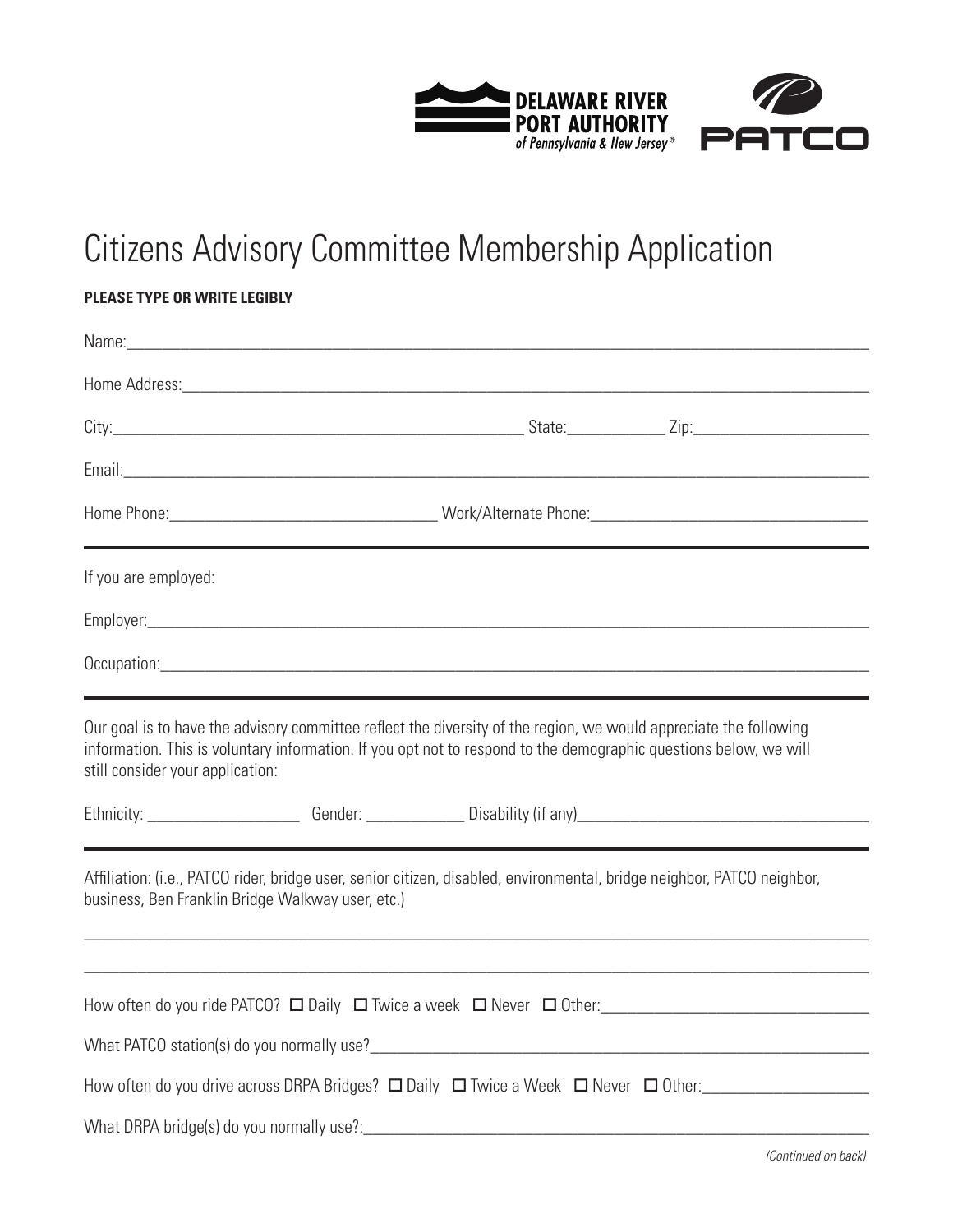

## Citizens Advisory Committee Membership Application

## **Please type or write legibly**

| If you are employed:                              |                                                                                                                                                                                                                                        |                                                                                                                            |
|---------------------------------------------------|----------------------------------------------------------------------------------------------------------------------------------------------------------------------------------------------------------------------------------------|----------------------------------------------------------------------------------------------------------------------------|
|                                                   |                                                                                                                                                                                                                                        |                                                                                                                            |
|                                                   |                                                                                                                                                                                                                                        |                                                                                                                            |
| still consider your application:                  | Our goal is to have the advisory committee reflect the diversity of the region, we would appreciate the following<br>information. This is voluntary information. If you opt not to respond to the demographic questions below, we will | Ethnicity: ________________________Gender: _______________Disability (if any)_________________________________             |
| business, Ben Franklin Bridge Walkway user, etc.) | Affiliation: (i.e., PATCO rider, bridge user, senior citizen, disabled, environmental, bridge neighbor, PATCO neighbor,                                                                                                                |                                                                                                                            |
|                                                   |                                                                                                                                                                                                                                        |                                                                                                                            |
|                                                   |                                                                                                                                                                                                                                        |                                                                                                                            |
|                                                   |                                                                                                                                                                                                                                        | How often do you drive across DRPA Bridges? $\Box$ Daily $\Box$ Twice a Week $\Box$ Never $\Box$ Other: __________________ |
| What DRPA bridge(s) do you normally use?:         |                                                                                                                                                                                                                                        |                                                                                                                            |